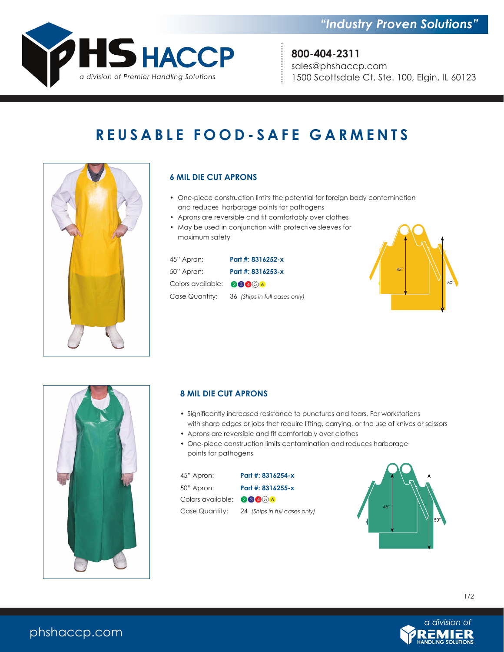

# **REUSABLE FOOD-SAFE GARMENTS**



## **6 MIL DIE CUT APRONS**

- One-piece construction limits the potential for foreign body contamination and reduces harborage points for pathogens
- Aprons are reversible and fit comfortably over clothes
- May be used in conjunction with protective sleeves for maximum safety

| 45" Apron:                         | Part #: 8316252-x                            |
|------------------------------------|----------------------------------------------|
| 50" Apron:                         | Part #: 8316253-x                            |
| Colors available: $\bigcirc$ 84 56 |                                              |
|                                    | Case Quantity: 36 (Ships in full cases only) |





### **8 MIL DIE CUT APRONS**

- Significantly increased resistance to punctures and tears. For workstations with sharp edges or jobs that require lifting, carrying, or the use of knives or scissors
- Aprons are reversible and fit comfortably over clothes
- One-piece construction limits contamination and reduces harborage points for pathogens

| 45" Apron:                           | Part #: 8316254-x             |
|--------------------------------------|-------------------------------|
| 50" Apron:                           | Part #: 8316255-x             |
| Colors available: $\bigcirc$ 8 4 5 6 |                               |
| Case Quantity:                       | 24 (Ships in full cases only) |